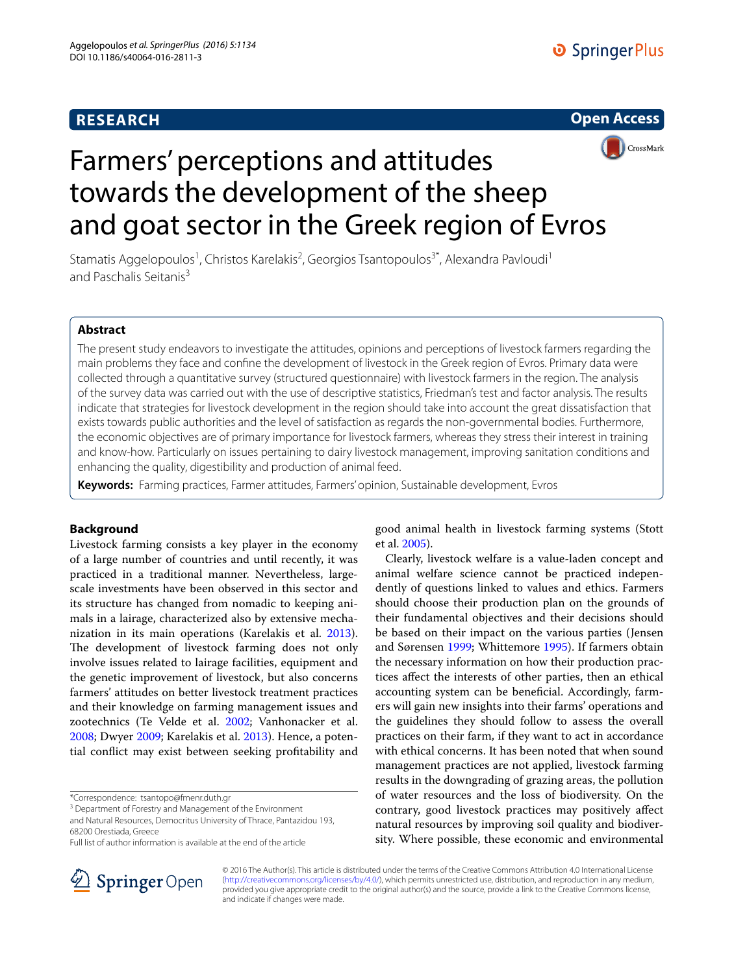# **RESEARCH**





# Farmers' perceptions and attitudes towards the development of the sheep and goat sector in the Greek region of Evros

Stamatis Aggelopoulos<sup>1</sup>, Christos Karelakis<sup>2</sup>, Georgios Tsantopoulos<sup>3\*</sup>, Alexandra Pavloudi<sup>1</sup> and Paschalis Seitanis<sup>3</sup>

# **Abstract**

The present study endeavors to investigate the attitudes, opinions and perceptions of livestock farmers regarding the main problems they face and confine the development of livestock in the Greek region of Evros. Primary data were collected through a quantitative survey (structured questionnaire) with livestock farmers in the region. The analysis of the survey data was carried out with the use of descriptive statistics, Friedman's test and factor analysis. The results indicate that strategies for livestock development in the region should take into account the great dissatisfaction that exists towards public authorities and the level of satisfaction as regards the non-governmental bodies. Furthermore, the economic objectives are of primary importance for livestock farmers, whereas they stress their interest in training and know-how. Particularly on issues pertaining to dairy livestock management, improving sanitation conditions and enhancing the quality, digestibility and production of animal feed.

**Keywords:** Farming practices, Farmer attitudes, Farmers' opinion, Sustainable development, Evros

# **Background**

Livestock farming consists a key player in the economy of a large number of countries and until recently, it was practiced in a traditional manner. Nevertheless, largescale investments have been observed in this sector and its structure has changed from nomadic to keeping animals in a lairage, characterized also by extensive mechanization in its main operations (Karelakis et al. [2013](#page-8-0)). The development of livestock farming does not only involve issues related to lairage facilities, equipment and the genetic improvement of livestock, but also concerns farmers' attitudes on better livestock treatment practices and their knowledge on farming management issues and zootechnics (Te Velde et al. [2002;](#page-8-1) Vanhonacker et al. [2008](#page-8-2); Dwyer [2009;](#page-8-3) Karelakis et al. [2013](#page-8-0)). Hence, a potential conflict may exist between seeking profitability and

\*Correspondence: tsantopo@fmenr.duth.gr

<sup>3</sup> Department of Forestry and Management of the Environment

and Natural Resources, Democritus University of Thrace, Pantazidou 193, 68200 Orestiada, Greece

Full list of author information is available at the end of the article



good animal health in livestock farming systems (Stott et al. [2005](#page-8-4)).

Clearly, livestock welfare is a value-laden concept and animal welfare science cannot be practiced independently of questions linked to values and ethics. Farmers should choose their production plan on the grounds of their fundamental objectives and their decisions should be based on their impact on the various parties (Jensen and Sørensen [1999;](#page-8-5) Whittemore [1995\)](#page-8-6). If farmers obtain the necessary information on how their production practices affect the interests of other parties, then an ethical accounting system can be beneficial. Accordingly, farmers will gain new insights into their farms' operations and the guidelines they should follow to assess the overall practices on their farm, if they want to act in accordance with ethical concerns. It has been noted that when sound management practices are not applied, livestock farming results in the downgrading of grazing areas, the pollution of water resources and the loss of biodiversity. On the contrary, good livestock practices may positively affect natural resources by improving soil quality and biodiversity. Where possible, these economic and environmental

© 2016 The Author(s). This article is distributed under the terms of the Creative Commons Attribution 4.0 International License [\(http://creativecommons.org/licenses/by/4.0/\)](http://creativecommons.org/licenses/by/4.0/), which permits unrestricted use, distribution, and reproduction in any medium, provided you give appropriate credit to the original author(s) and the source, provide a link to the Creative Commons license, and indicate if changes were made.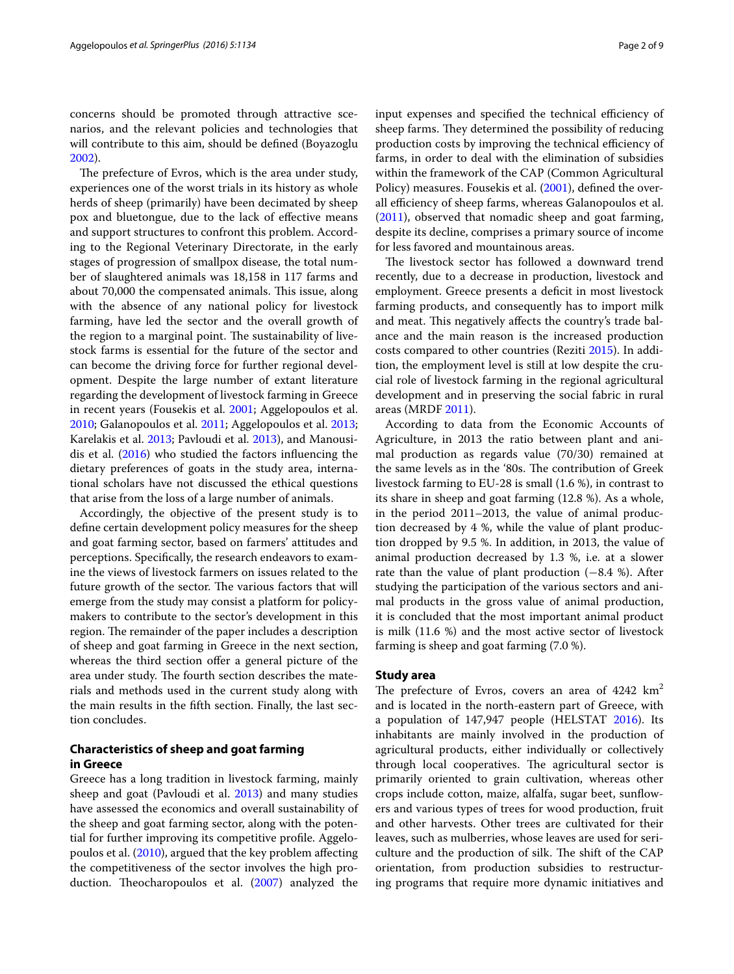concerns should be promoted through attractive scenarios, and the relevant policies and technologies that will contribute to this aim, should be defined (Boyazoglu [2002](#page-8-7)).

The prefecture of Evros, which is the area under study, experiences one of the worst trials in its history as whole herds of sheep (primarily) have been decimated by sheep pox and bluetongue, due to the lack of effective means and support structures to confront this problem. According to the Regional Veterinary Directorate, in the early stages of progression of smallpox disease, the total number of slaughtered animals was 18,158 in 117 farms and about 70,000 the compensated animals. This issue, along with the absence of any national policy for livestock farming, have led the sector and the overall growth of the region to a marginal point. The sustainability of livestock farms is essential for the future of the sector and can become the driving force for further regional development. Despite the large number of extant literature regarding the development of livestock farming in Greece in recent years (Fousekis et al. [2001;](#page-8-8) Aggelopoulos et al. [2010](#page-8-9); Galanopoulos et al. [2011;](#page-8-10) Aggelopoulos et al. [2013](#page-8-11); Karelakis et al. [2013](#page-8-0); Pavloudi et al. [2013\)](#page-8-12), and Manousidis et al.  $(2016)$  who studied the factors influencing the dietary preferences of goats in the study area, international scholars have not discussed the ethical questions that arise from the loss of a large number of animals.

Accordingly, the objective of the present study is to define certain development policy measures for the sheep and goat farming sector, based on farmers' attitudes and perceptions. Specifically, the research endeavors to examine the views of livestock farmers on issues related to the future growth of the sector. The various factors that will emerge from the study may consist a platform for policymakers to contribute to the sector's development in this region. The remainder of the paper includes a description of sheep and goat farming in Greece in the next section, whereas the third section offer a general picture of the area under study. The fourth section describes the materials and methods used in the current study along with the main results in the fifth section. Finally, the last section concludes.

## **Characteristics of sheep and goat farming in Greece**

Greece has a long tradition in livestock farming, mainly sheep and goat (Pavloudi et al. [2013](#page-8-12)) and many studies have assessed the economics and overall sustainability of the sheep and goat farming sector, along with the potential for further improving its competitive profile. Aggelopoulos et al. [\(2010\)](#page-8-9), argued that the key problem affecting the competitiveness of the sector involves the high production. Theocharopoulos et al. ([2007](#page-8-14)) analyzed the input expenses and specified the technical efficiency of sheep farms. They determined the possibility of reducing production costs by improving the technical efficiency of farms, in order to deal with the elimination of subsidies within the framework of the CAP (Common Agricultural Policy) measures. Fousekis et al. [\(2001](#page-8-8)), defined the overall efficiency of sheep farms, whereas Galanopoulos et al. ([2011\)](#page-8-10), observed that nomadic sheep and goat farming, despite its decline, comprises a primary source of income for less favored and mountainous areas.

The livestock sector has followed a downward trend recently, due to a decrease in production, livestock and employment. Greece presents a deficit in most livestock farming products, and consequently has to import milk and meat. This negatively affects the country's trade balance and the main reason is the increased production costs compared to other countries (Reziti [2015\)](#page-8-15). In addition, the employment level is still at low despite the crucial role of livestock farming in the regional agricultural development and in preserving the social fabric in rural areas (MRDF [2011\)](#page-8-16).

According to data from the Economic Accounts of Agriculture, in 2013 the ratio between plant and animal production as regards value (70/30) remained at the same levels as in the '80s. The contribution of Greek livestock farming to ΕU-28 is small (1.6 %), in contrast to its share in sheep and goat farming (12.8 %). As a whole, in the period 2011–2013, the value of animal production decreased by 4 %, while the value of plant production dropped by 9.5 %. In addition, in 2013, the value of animal production decreased by 1.3 %, i.e. at a slower rate than the value of plant production (−8.4 %). After studying the participation of the various sectors and animal products in the gross value of animal production, it is concluded that the most important animal product is milk (11.6 %) and the most active sector of livestock farming is sheep and goat farming (7.0 %).

#### **Study area**

The prefecture of Evros, covers an area of  $4242 \text{ km}^2$ and is located in the north-eastern part of Greece, with a population of 147,947 people (HELSTAT [2016\)](#page-8-17). Its inhabitants are mainly involved in the production of agricultural products, either individually or collectively through local cooperatives. The agricultural sector is primarily oriented to grain cultivation, whereas other crops include cotton, maize, alfalfa, sugar beet, sunflowers and various types of trees for wood production, fruit and other harvests. Other trees are cultivated for their leaves, such as mulberries, whose leaves are used for sericulture and the production of silk. The shift of the CAP orientation, from production subsidies to restructuring programs that require more dynamic initiatives and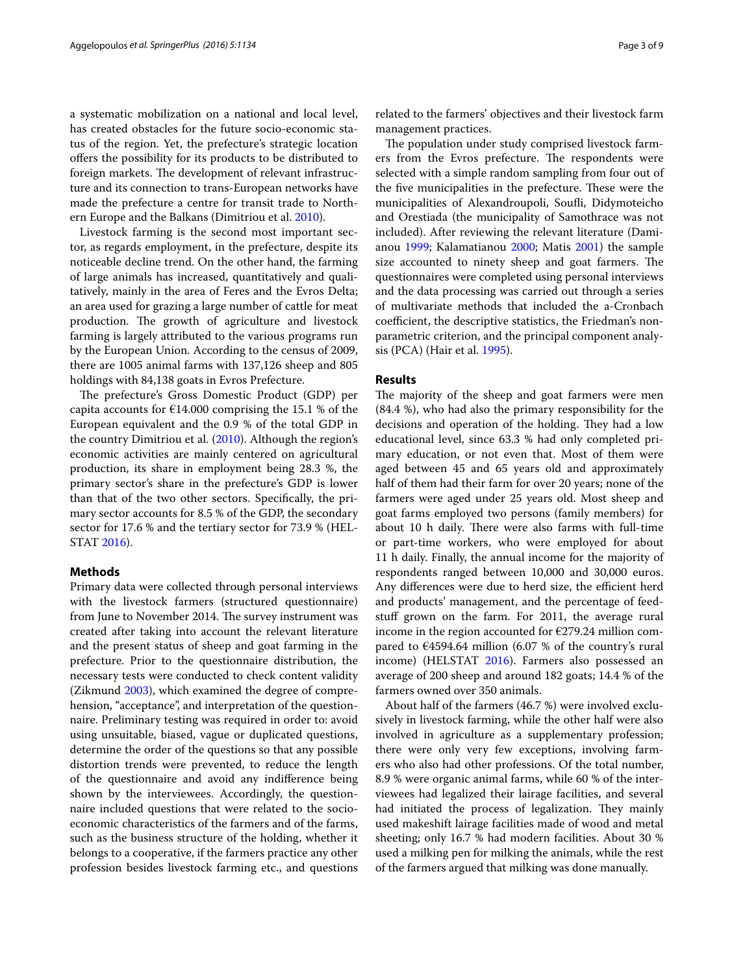a systematic mobilization on a national and local level, has created obstacles for the future socio-economic status of the region. Yet, the prefecture's strategic location offers the possibility for its products to be distributed to foreign markets. The development of relevant infrastructure and its connection to trans-European networks have made the prefecture a centre for transit trade to Northern Europe and the Balkans (Dimitriou et al. [2010\)](#page-8-18).

Livestock farming is the second most important sector, as regards employment, in the prefecture, despite its noticeable decline trend. On the other hand, the farming of large animals has increased, quantitatively and qualitatively, mainly in the area of Feres and the Evros Delta; an area used for grazing a large number of cattle for meat production. The growth of agriculture and livestock farming is largely attributed to the various programs run by the European Union. According to the census of 2009, there are 1005 animal farms with 137,126 sheep and 805 holdings with 84,138 goats in Evros Prefecture.

The prefecture's Gross Domestic Product (GDP) per capita accounts for  $£14.000$  comprising the 15.1 % of the European equivalent and the 0.9 % of the total GDP in the country Dimitriou et al. [\(2010\)](#page-8-18). Although the region's economic activities are mainly centered on agricultural production, its share in employment being 28.3 %, the primary sector's share in the prefecture's GDP is lower than that of the two other sectors. Specifically, the primary sector accounts for 8.5 % of the GDP, the secondary sector for 17.6 % and the tertiary sector for 73.9 % (HEL-STAT [2016](#page-8-17)).

#### **Methods**

Primary data were collected through personal interviews with the livestock farmers (structured questionnaire) from June to November 2014. The survey instrument was created after taking into account the relevant literature and the present status of sheep and goat farming in the prefecture. Prior to the questionnaire distribution, the necessary tests were conducted to check content validity (Zikmund [2003\)](#page-8-19), which examined the degree of comprehension, "acceptance", and interpretation of the questionnaire. Preliminary testing was required in order to: avoid using unsuitable, biased, vague or duplicated questions, determine the order of the questions so that any possible distortion trends were prevented, to reduce the length of the questionnaire and avoid any indifference being shown by the interviewees. Accordingly, the questionnaire included questions that were related to the socioeconomic characteristics of the farmers and of the farms, such as the business structure of the holding, whether it belongs to a cooperative, if the farmers practice any other profession besides livestock farming etc., and questions related to the farmers' objectives and their livestock farm management practices.

The population under study comprised livestock farmers from the Evros prefecture. The respondents were selected with a simple random sampling from four out of the five municipalities in the prefecture. These were the municipalities of Alexandroupoli, Soufli, Didymoteicho and Orestiada (the municipality of Samothrace was not included). After reviewing the relevant literature (Damianou [1999](#page-8-20); Kalamatianou [2000](#page-8-21); Matis [2001\)](#page-8-22) the sample size accounted to ninety sheep and goat farmers. The questionnaires were completed using personal interviews and the data processing was carried out through a series of multivariate methods that included the a-Crοnbach coefficient, the descriptive statistics, the Friedman's nonparametric criterion, and the principal component analysis (PCA) (Hair et al. [1995\)](#page-8-23).

#### **Results**

The majority of the sheep and goat farmers were men (84.4 %), who had also the primary responsibility for the decisions and operation of the holding. They had a low educational level, since 63.3 % had only completed primary education, or not even that. Most of them were aged between 45 and 65 years old and approximately half of them had their farm for over 20 years; none of the farmers were aged under 25 years old. Most sheep and goat farms employed two persons (family members) for about 10 h daily. There were also farms with full-time or part-time workers, who were employed for about 11 h daily. Finally, the annual income for the majority of respondents ranged between 10,000 and 30,000 euros. Any differences were due to herd size, the efficient herd and products' management, and the percentage of feedstuff grown on the farm. For 2011, the average rural income in the region accounted for  $E279.24$  million compared to  $\epsilon$ 4594.64 million (6.07 % of the country's rural income) (HELSTAT [2016\)](#page-8-17). Farmers also possessed an average of 200 sheep and around 182 goats; 14.4 % of the farmers owned over 350 animals.

About half of the farmers (46.7 %) were involved exclusively in livestock farming, while the other half were also involved in agriculture as a supplementary profession; there were only very few exceptions, involving farmers who also had other professions. Of the total number, 8.9 % were organic animal farms, while 60 % of the interviewees had legalized their lairage facilities, and several had initiated the process of legalization. They mainly used makeshift lairage facilities made of wood and metal sheeting; only 16.7 % had modern facilities. About 30 % used a milking pen for milking the animals, while the rest of the farmers argued that milking was done manually.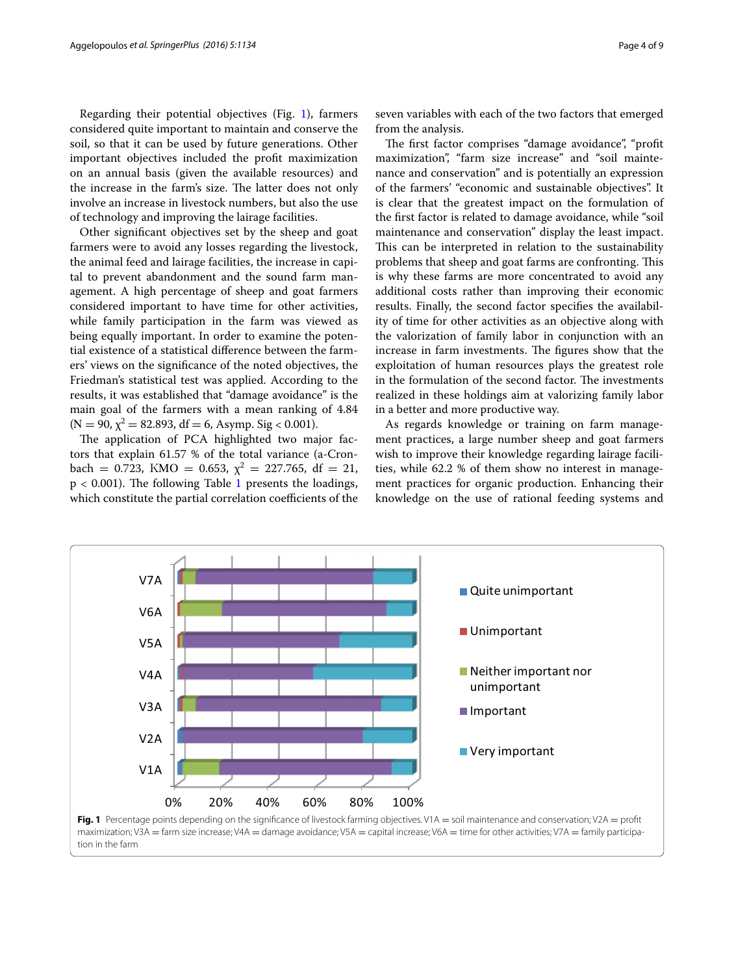Regarding their potential objectives (Fig. [1\)](#page-3-0), farmers considered quite important to maintain and conserve the soil, so that it can be used by future generations. Other important objectives included the profit maximization on an annual basis (given the available resources) and the increase in the farm's size. The latter does not only involve an increase in livestock numbers, but also the use of technology and improving the lairage facilities.

Other significant objectives set by the sheep and goat farmers were to avoid any losses regarding the livestock, the animal feed and lairage facilities, the increase in capital to prevent abandonment and the sound farm management. A high percentage of sheep and goat farmers considered important to have time for other activities, while family participation in the farm was viewed as being equally important. In order to examine the potential existence of a statistical difference between the farmers' views on the significance of the noted objectives, the Friedman's statistical test was applied. According to the results, it was established that "damage avoidance" is the main goal of the farmers with a mean ranking of 4.84  $(N = 90, \chi^2 = 82.893, df = 6, Asymp. Sig < 0.001)$ .

The application of PCA highlighted two major factors that explain 61.57 % of the total variance (a-Cronbach = 0.723, KMO = 0.653,  $\chi^2$  = 227.765, df = 21,  $p < 0.001$  $p < 0.001$ ). The following Table 1 presents the loadings, which constitute the partial correlation coefficients of the

seven variables with each of the two factors that emerged from the analysis.

The first factor comprises "damage avoidance", "profit maximization", "farm size increase" and "soil maintenance and conservation" and is potentially an expression of the farmers' "economic and sustainable objectives". It is clear that the greatest impact on the formulation of the first factor is related to damage avoidance, while "soil maintenance and conservation" display the least impact. This can be interpreted in relation to the sustainability problems that sheep and goat farms are confronting. This is why these farms are more concentrated to avoid any additional costs rather than improving their economic results. Finally, the second factor specifies the availability of time for other activities as an objective along with the valorization of family labor in conjunction with an increase in farm investments. The figures show that the exploitation of human resources plays the greatest role in the formulation of the second factor. The investments realized in these holdings aim at valorizing family labor in a better and more productive way.

As regards knowledge or training on farm management practices, a large number sheep and goat farmers wish to improve their knowledge regarding lairage facilities, while 62.2 % of them show no interest in management practices for organic production. Enhancing their knowledge on the use of rational feeding systems and



<span id="page-3-0"></span>tion in the farm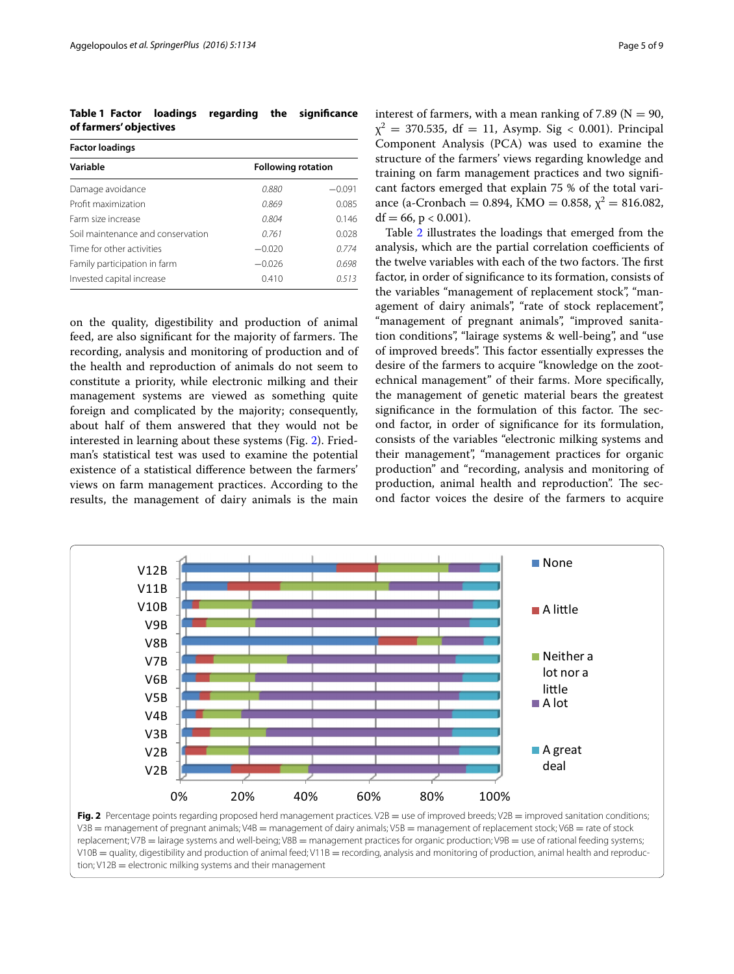<span id="page-4-0"></span>**Table 1 Factor loadings regarding the significance of farmers' objectives**

| <b>Factor loadings</b>            |                           |          |  |  |
|-----------------------------------|---------------------------|----------|--|--|
| Variable                          | <b>Following rotation</b> |          |  |  |
| Damage avoidance                  | 0.880                     | $-0.091$ |  |  |
| Profit maximization               | 0.869                     | 0.085    |  |  |
| Farm size increase                | 0.804                     | 0.146    |  |  |
| Soil maintenance and conservation | 0.761                     | 0.028    |  |  |
| Time for other activities         | $-0.020$                  | 0.774    |  |  |
| Family participation in farm      | $-0.026$                  | 0.698    |  |  |
| Invested capital increase         | 0.410                     | 0513     |  |  |

on the quality, digestibility and production of animal feed, are also significant for the majority of farmers. The recording, analysis and monitoring of production and of the health and reproduction of animals do not seem to constitute a priority, while electronic milking and their management systems are viewed as something quite foreign and complicated by the majority; consequently, about half of them answered that they would not be interested in learning about these systems (Fig. [2\)](#page-4-1). Friedman's statistical test was used to examine the potential existence of a statistical difference between the farmers' views on farm management practices. According to the results, the management of dairy animals is the main interest of farmers, with a mean ranking of 7.89 ( $N = 90$ ,  $\chi^2$  = 370.535, df = 11, Asymp. Sig < 0.001). Principal Component Analysis (PCA) was used to examine the structure of the farmers' views regarding knowledge and training on farm management practices and two significant factors emerged that explain 75 % of the total variance (a-Cronbach = 0.894, KMO = 0.858,  $\chi^2$  = 816.082,  $df = 66$ ,  $p < 0.001$ ).

Table [2](#page-5-0) illustrates the loadings that emerged from the analysis, which are the partial correlation coefficients of the twelve variables with each of the two factors. The first factor, in order of significance to its formation, consists of the variables "management of replacement stock", "management of dairy animals", "rate of stock replacement", "management of pregnant animals", "improved sanitation conditions", "lairage systems & well-being", and "use of improved breeds". This factor essentially expresses the desire of the farmers to acquire "knowledge on the zootechnical management" of their farms. More specifically, the management of genetic material bears the greatest significance in the formulation of this factor. The second factor, in order of significance for its formulation, consists of the variables "electronic milking systems and their management", "management practices for organic production" and "recording, analysis and monitoring of production, animal health and reproduction". The second factor voices the desire of the farmers to acquire



<span id="page-4-1"></span>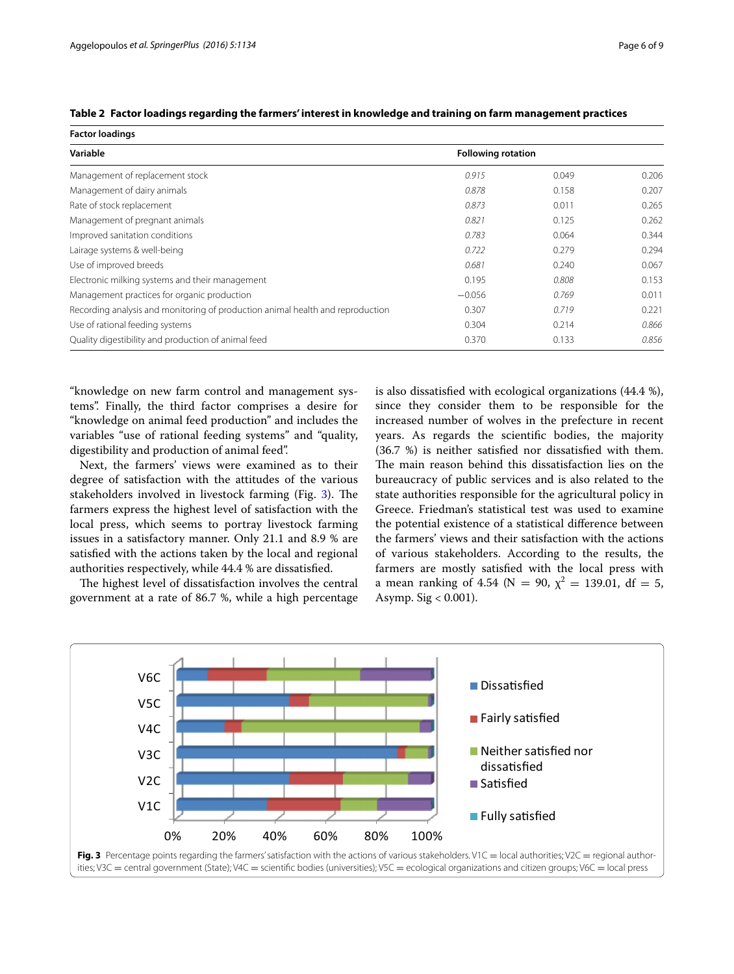| <b>Factor loadings</b>                                                         |                           |       |       |
|--------------------------------------------------------------------------------|---------------------------|-------|-------|
| Variable                                                                       | <b>Following rotation</b> |       |       |
| Management of replacement stock                                                | 0.915                     | 0.049 | 0.206 |
| Management of dairy animals                                                    | 0.878                     | 0.158 | 0.207 |
| Rate of stock replacement                                                      | 0.873                     | 0.011 | 0.265 |
| Management of pregnant animals                                                 | 0.821                     | 0.125 | 0.262 |
| Improved sanitation conditions                                                 | 0.783                     | 0.064 | 0.344 |
| Lairage systems & well-being                                                   | 0.722                     | 0.279 | 0.294 |
| Use of improved breeds                                                         | 0.681                     | 0.240 | 0.067 |
| Electronic milking systems and their management                                | 0.195                     | 0.808 | 0.153 |
| Management practices for organic production                                    | $-0.056$                  | 0.769 | 0.011 |
| Recording analysis and monitoring of production animal health and reproduction | 0.307                     | 0.719 | 0.221 |
| Use of rational feeding systems                                                | 0.304                     | 0.214 | 0.866 |
| Quality digestibility and production of animal feed                            | 0.370                     | 0.133 | 0.856 |

<span id="page-5-0"></span>

|  | Table 2 Factor loadings regarding the farmers' interest in knowledge and training on farm management practices |  |  |
|--|----------------------------------------------------------------------------------------------------------------|--|--|
|  |                                                                                                                |  |  |

"knowledge on new farm control and management systems". Finally, the third factor comprises a desire for "knowledge on animal feed production" and includes the variables "use of rational feeding systems" and "quality, digestibility and production of animal feed".

Next, the farmers' views were examined as to their degree of satisfaction with the attitudes of the various stakeholders involved in livestock farming (Fig. [3\)](#page-5-1). The farmers express the highest level of satisfaction with the local press, which seems to portray livestock farming issues in a satisfactory manner. Only 21.1 and 8.9 % are satisfied with the actions taken by the local and regional authorities respectively, while 44.4 % are dissatisfied.

The highest level of dissatisfaction involves the central government at a rate of 86.7 %, while a high percentage is also dissatisfied with ecological organizations (44.4 %), since they consider them to be responsible for the increased number of wolves in the prefecture in recent years. As regards the scientific bodies, the majority (36.7 %) is neither satisfied nor dissatisfied with them. The main reason behind this dissatisfaction lies on the bureaucracy of public services and is also related to the state authorities responsible for the agricultural policy in Greece. Friedman's statistical test was used to examine the potential existence of a statistical difference between the farmers' views and their satisfaction with the actions of various stakeholders. According to the results, the farmers are mostly satisfied with the local press with a mean ranking of 4.54 (N = 90,  $\chi^2$  = 139.01, df = 5, Asymp. Sig < 0.001).

<span id="page-5-1"></span>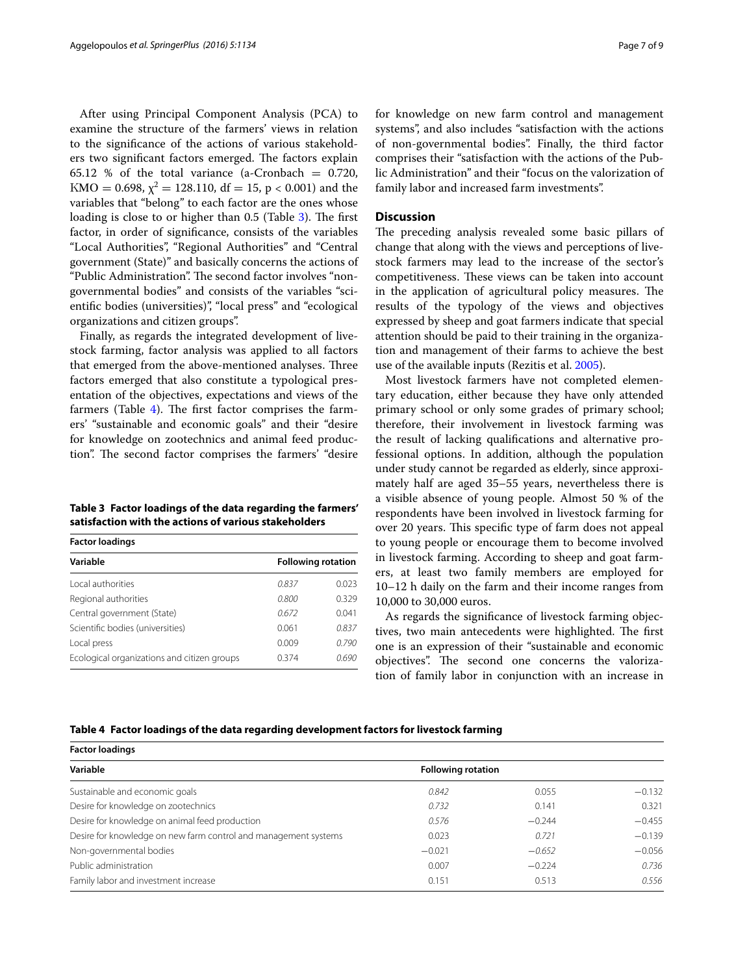After using Principal Component Analysis (PCA) to examine the structure of the farmers' views in relation to the significance of the actions of various stakeholders two significant factors emerged. The factors explain 65.12 % of the total variance (a-Cronbach  $= 0.720$ , KMO = 0.698,  $\chi^2$  = 128.110, df = 15, p < 0.001) and the variables that "belong" to each factor are the ones whose loading is close to or higher than 0.5 (Table [3](#page-6-0)). The first factor, in order of significance, consists of the variables "Local Authorities", "Regional Authorities" and "Central government (State)" and basically concerns the actions of "Public Administration". The second factor involves "nongovernmental bodies" and consists of the variables "scientific bodies (universities)", "local press" and "ecological organizations and citizen groups".

Finally, as regards the integrated development of livestock farming, factor analysis was applied to all factors that emerged from the above-mentioned analyses. Three factors emerged that also constitute a typological presentation of the objectives, expectations and views of the farmers (Table [4\)](#page-6-1). The first factor comprises the farmers' "sustainable and economic goals" and their "desire for knowledge on zootechnics and animal feed production". The second factor comprises the farmers' "desire

<span id="page-6-0"></span>**Table 3 Factor loadings of the data regarding the farmers' satisfaction with the actions of various stakeholders**

| <b>Factor loadings</b>                      |                           |       |  |  |
|---------------------------------------------|---------------------------|-------|--|--|
| Variable                                    | <b>Following rotation</b> |       |  |  |
| Local authorities                           | 0.837                     | 0.023 |  |  |
| Regional authorities                        | 0.800                     | 0.329 |  |  |
| Central government (State)                  | 0.672                     | 0.041 |  |  |
| Scientific bodies (universities)            | 0.061                     | 0.837 |  |  |
| Local press                                 | 0.009                     | 0.790 |  |  |
| Ecological organizations and citizen groups | 0374                      | 0.690 |  |  |

for knowledge on new farm control and management systems", and also includes "satisfaction with the actions of non-governmental bodies". Finally, the third factor comprises their "satisfaction with the actions of the Public Administration" and their "focus on the valorization of family labor and increased farm investments".

### **Discussion**

The preceding analysis revealed some basic pillars of change that along with the views and perceptions of livestock farmers may lead to the increase of the sector's competitiveness. These views can be taken into account in the application of agricultural policy measures. The results of the typology of the views and objectives expressed by sheep and goat farmers indicate that special attention should be paid to their training in the organization and management of their farms to achieve the best use of the available inputs (Rezitis et al. [2005](#page-8-24)).

Most livestock farmers have not completed elementary education, either because they have only attended primary school or only some grades of primary school; therefore, their involvement in livestock farming was the result of lacking qualifications and alternative professional options. In addition, although the population under study cannot be regarded as elderly, since approximately half are aged 35–55 years, nevertheless there is a visible absence of young people. Almost 50 % of the respondents have been involved in livestock farming for over 20 years. This specific type of farm does not appeal to young people or encourage them to become involved in livestock farming. According to sheep and goat farmers, at least two family members are employed for 10–12 h daily on the farm and their income ranges from 10,000 to 30,000 euros.

As regards the significance of livestock farming objectives, two main antecedents were highlighted. The first one is an expression of their "sustainable and economic objectives". The second one concerns the valorization of family labor in conjunction with an increase in

### <span id="page-6-1"></span>**Table 4 Factor loadings of the data regarding development factors for livestock farming**

| <b>Factor loadings</b>                                          |                           |          |          |
|-----------------------------------------------------------------|---------------------------|----------|----------|
| Variable                                                        | <b>Following rotation</b> |          |          |
| Sustainable and economic goals                                  | 0.842                     | 0.055    | $-0.132$ |
| Desire for knowledge on zootechnics                             | 0.732                     | 0.141    | 0.321    |
| Desire for knowledge on animal feed production                  | 0.576                     | $-0.244$ | $-0.455$ |
| Desire for knowledge on new farm control and management systems | 0.023                     | 0.721    | $-0.139$ |
| Non-governmental bodies                                         | $-0.021$                  | $-0.652$ | $-0.056$ |
| Public administration                                           | 0.007                     | $-0.224$ | 0.736    |
| Family labor and investment increase                            | 0.151                     | 0.513    | 0.556    |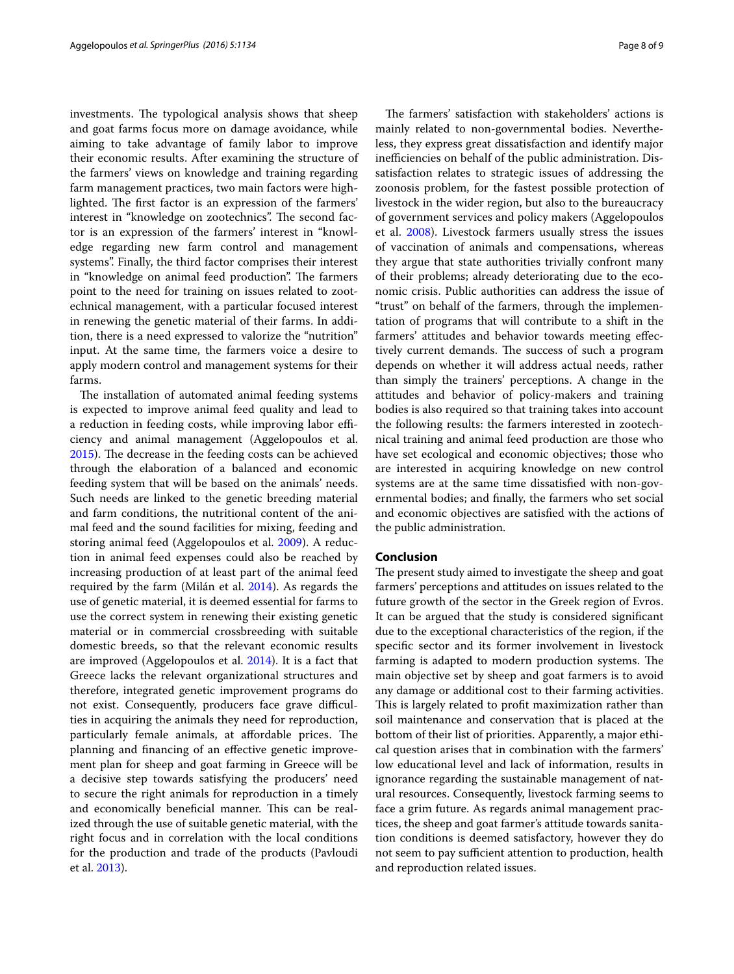investments. The typological analysis shows that sheep and goat farms focus more on damage avoidance, while aiming to take advantage of family labor to improve their economic results. After examining the structure of the farmers' views on knowledge and training regarding farm management practices, two main factors were highlighted. The first factor is an expression of the farmers' interest in "knowledge on zootechnics". The second factor is an expression of the farmers' interest in "knowledge regarding new farm control and management systems". Finally, the third factor comprises their interest in "knowledge on animal feed production". The farmers point to the need for training on issues related to zootechnical management, with a particular focused interest in renewing the genetic material of their farms. In addition, there is a need expressed to valorize the "nutrition" input. At the same time, the farmers voice a desire to apply modern control and management systems for their farms.

The installation of automated animal feeding systems is expected to improve animal feed quality and lead to a reduction in feeding costs, while improving labor efficiency and animal management (Aggelopoulos et al. [2015](#page-8-25)). The decrease in the feeding costs can be achieved through the elaboration of a balanced and economic feeding system that will be based on the animals' needs. Such needs are linked to the genetic breeding material and farm conditions, the nutritional content of the animal feed and the sound facilities for mixing, feeding and storing animal feed (Aggelopoulos et al. [2009](#page-8-26)). A reduction in animal feed expenses could also be reached by increasing production of at least part of the animal feed required by the farm (Milán et al. [2014](#page-8-27)). As regards the use of genetic material, it is deemed essential for farms to use the correct system in renewing their existing genetic material or in commercial crossbreeding with suitable domestic breeds, so that the relevant economic results are improved (Aggelopoulos et al. [2014](#page-8-28)). It is a fact that Greece lacks the relevant organizational structures and therefore, integrated genetic improvement programs do not exist. Consequently, producers face grave difficulties in acquiring the animals they need for reproduction, particularly female animals, at affordable prices. The planning and financing of an effective genetic improvement plan for sheep and goat farming in Greece will be a decisive step towards satisfying the producers' need to secure the right animals for reproduction in a timely and economically beneficial manner. This can be realized through the use of suitable genetic material, with the right focus and in correlation with the local conditions for the production and trade of the products (Pavloudi et al. [2013\)](#page-8-12).

The farmers' satisfaction with stakeholders' actions is mainly related to non-governmental bodies. Nevertheless, they express great dissatisfaction and identify major inefficiencies on behalf of the public administration. Dissatisfaction relates to strategic issues of addressing the zoonosis problem, for the fastest possible protection of livestock in the wider region, but also to the bureaucracy of government services and policy makers (Aggelopoulos et al. [2008\)](#page-8-29). Livestock farmers usually stress the issues of vaccination of animals and compensations, whereas they argue that state authorities trivially confront many of their problems; already deteriorating due to the economic crisis. Public authorities can address the issue of "trust" on behalf of the farmers, through the implementation of programs that will contribute to a shift in the farmers' attitudes and behavior towards meeting effectively current demands. The success of such a program depends on whether it will address actual needs, rather than simply the trainers' perceptions. A change in the attitudes and behavior of policy-makers and training bodies is also required so that training takes into account the following results: the farmers interested in zootechnical training and animal feed production are those who have set ecological and economic objectives; those who are interested in acquiring knowledge on new control systems are at the same time dissatisfied with non-governmental bodies; and finally, the farmers who set social and economic objectives are satisfied with the actions of the public administration.

#### **Conclusion**

The present study aimed to investigate the sheep and goat farmers' perceptions and attitudes on issues related to the future growth of the sector in the Greek region of Evros. It can be argued that the study is considered significant due to the exceptional characteristics of the region, if the specific sector and its former involvement in livestock farming is adapted to modern production systems. The main objective set by sheep and goat farmers is to avoid any damage or additional cost to their farming activities. This is largely related to profit maximization rather than soil maintenance and conservation that is placed at the bottom of their list of priorities. Apparently, a major ethical question arises that in combination with the farmers' low educational level and lack of information, results in ignorance regarding the sustainable management of natural resources. Consequently, livestock farming seems to face a grim future. As regards animal management practices, the sheep and goat farmer's attitude towards sanitation conditions is deemed satisfactory, however they do not seem to pay sufficient attention to production, health and reproduction related issues.